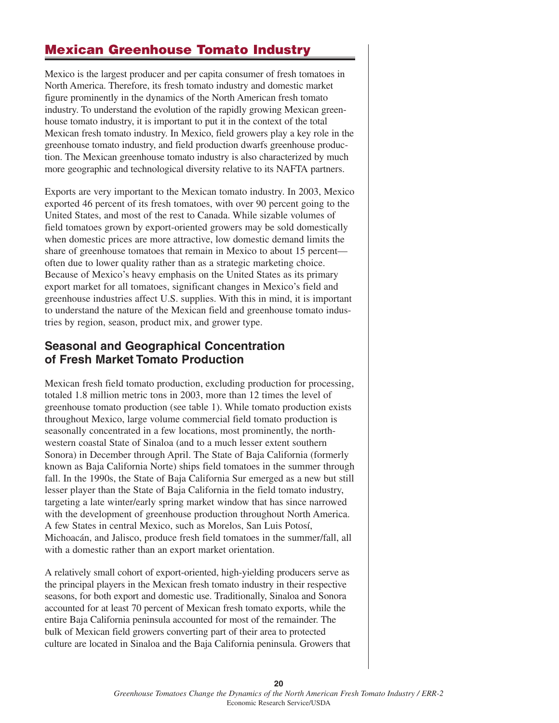# **Mexican Greenhouse Tomato Industry**

Mexico is the largest producer and per capita consumer of fresh tomatoes in North America. Therefore, its fresh tomato industry and domestic market figure prominently in the dynamics of the North American fresh tomato industry. To understand the evolution of the rapidly growing Mexican greenhouse tomato industry, it is important to put it in the context of the total Mexican fresh tomato industry. In Mexico, field growers play a key role in the greenhouse tomato industry, and field production dwarfs greenhouse production. The Mexican greenhouse tomato industry is also characterized by much more geographic and technological diversity relative to its NAFTA partners.

Exports are very important to the Mexican tomato industry. In 2003, Mexico exported 46 percent of its fresh tomatoes, with over 90 percent going to the United States, and most of the rest to Canada. While sizable volumes of field tomatoes grown by export-oriented growers may be sold domestically when domestic prices are more attractive, low domestic demand limits the share of greenhouse tomatoes that remain in Mexico to about 15 percent often due to lower quality rather than as a strategic marketing choice. Because of Mexico's heavy emphasis on the United States as its primary export market for all tomatoes, significant changes in Mexico's field and greenhouse industries affect U.S. supplies. With this in mind, it is important to understand the nature of the Mexican field and greenhouse tomato industries by region, season, product mix, and grower type.

# **Seasonal and Geographical Concentration of Fresh Market Tomato Production**

Mexican fresh field tomato production, excluding production for processing, totaled 1.8 million metric tons in 2003, more than 12 times the level of greenhouse tomato production (see table 1). While tomato production exists throughout Mexico, large volume commercial field tomato production is seasonally concentrated in a few locations, most prominently, the northwestern coastal State of Sinaloa (and to a much lesser extent southern Sonora) in December through April. The State of Baja California (formerly known as Baja California Norte) ships field tomatoes in the summer through fall. In the 1990s, the State of Baja California Sur emerged as a new but still lesser player than the State of Baja California in the field tomato industry, targeting a late winter/early spring market window that has since narrowed with the development of greenhouse production throughout North America. A few States in central Mexico, such as Morelos, San Luis Potosí, Michoacán, and Jalisco, produce fresh field tomatoes in the summer/fall, all with a domestic rather than an export market orientation.

A relatively small cohort of export-oriented, high-yielding producers serve as the principal players in the Mexican fresh tomato industry in their respective seasons, for both export and domestic use. Traditionally, Sinaloa and Sonora accounted for at least 70 percent of Mexican fresh tomato exports, while the entire Baja California peninsula accounted for most of the remainder. The bulk of Mexican field growers converting part of their area to protected culture are located in Sinaloa and the Baja California peninsula. Growers that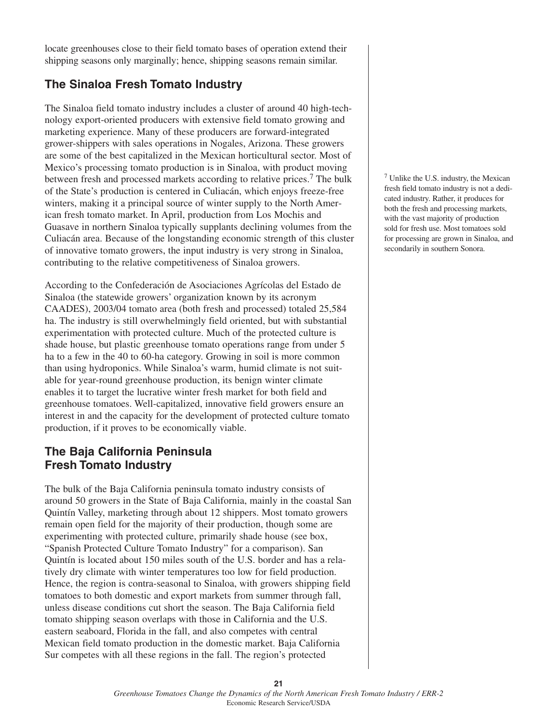locate greenhouses close to their field tomato bases of operation extend their shipping seasons only marginally; hence, shipping seasons remain similar.

# **The Sinaloa Fresh Tomato Industry**

The Sinaloa field tomato industry includes a cluster of around 40 high-technology export-oriented producers with extensive field tomato growing and marketing experience. Many of these producers are forward-integrated grower-shippers with sales operations in Nogales, Arizona. These growers are some of the best capitalized in the Mexican horticultural sector. Most of Mexico's processing tomato production is in Sinaloa, with product moving between fresh and processed markets according to relative prices.<sup>7</sup> The bulk of the State's production is centered in Culiacán, which enjoys freeze-free winters, making it a principal source of winter supply to the North American fresh tomato market. In April, production from Los Mochis and Guasave in northern Sinaloa typically supplants declining volumes from the Culiacán area. Because of the longstanding economic strength of this cluster of innovative tomato growers, the input industry is very strong in Sinaloa, contributing to the relative competitiveness of Sinaloa growers.

According to the Confederación de Asociaciones Agrícolas del Estado de Sinaloa (the statewide growers' organization known by its acronym CAADES), 2003/04 tomato area (both fresh and processed) totaled 25,584 ha. The industry is still overwhelmingly field oriented, but with substantial experimentation with protected culture. Much of the protected culture is shade house, but plastic greenhouse tomato operations range from under 5 ha to a few in the 40 to 60-ha category. Growing in soil is more common than using hydroponics. While Sinaloa's warm, humid climate is not suitable for year-round greenhouse production, its benign winter climate enables it to target the lucrative winter fresh market for both field and greenhouse tomatoes. Well-capitalized, innovative field growers ensure an interest in and the capacity for the development of protected culture tomato production, if it proves to be economically viable.

# **The Baja California Peninsula Fresh Tomato Industry**

The bulk of the Baja California peninsula tomato industry consists of around 50 growers in the State of Baja California, mainly in the coastal San Quintín Valley, marketing through about 12 shippers. Most tomato growers remain open field for the majority of their production, though some are experimenting with protected culture, primarily shade house (see box, "Spanish Protected Culture Tomato Industry" for a comparison). San Quintín is located about 150 miles south of the U.S. border and has a relatively dry climate with winter temperatures too low for field production. Hence, the region is contra-seasonal to Sinaloa, with growers shipping field tomatoes to both domestic and export markets from summer through fall, unless disease conditions cut short the season. The Baja California field tomato shipping season overlaps with those in California and the U.S. eastern seaboard, Florida in the fall, and also competes with central Mexican field tomato production in the domestic market. Baja California Sur competes with all these regions in the fall. The region's protected

<sup>7</sup> Unlike the U.S. industry, the Mexican fresh field tomato industry is not a dedicated industry. Rather, it produces for both the fresh and processing markets, with the vast majority of production sold for fresh use. Most tomatoes sold for processing are grown in Sinaloa, and secondarily in southern Sonora.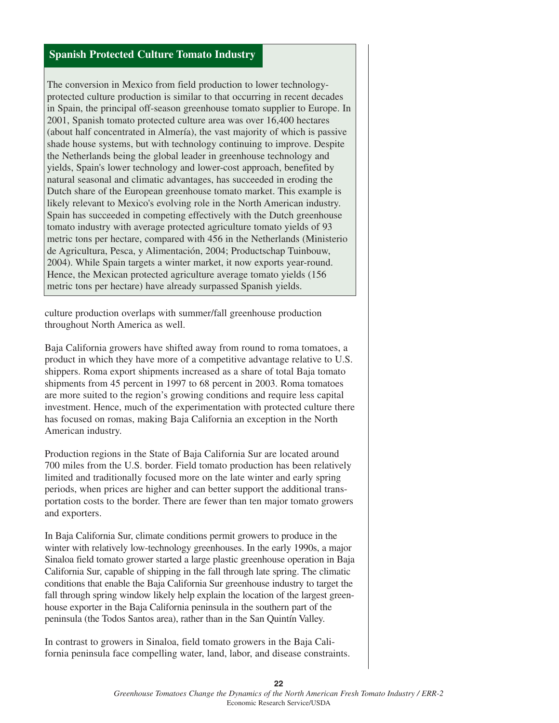#### **Spanish Protected Culture Tomato Industry**

The conversion in Mexico from field production to lower technologyprotected culture production is similar to that occurring in recent decades in Spain, the principal off-season greenhouse tomato supplier to Europe. In 2001, Spanish tomato protected culture area was over 16,400 hectares (about half concentrated in Almería), the vast majority of which is passive shade house systems, but with technology continuing to improve. Despite the Netherlands being the global leader in greenhouse technology and yields, Spain's lower technology and lower-cost approach, benefited by natural seasonal and climatic advantages, has succeeded in eroding the Dutch share of the European greenhouse tomato market. This example is likely relevant to Mexico's evolving role in the North American industry. Spain has succeeded in competing effectively with the Dutch greenhouse tomato industry with average protected agriculture tomato yields of 93 metric tons per hectare, compared with 456 in the Netherlands (Ministerio de Agricultura, Pesca, y Alimentación, 2004; Productschap Tuinbouw, 2004). While Spain targets a winter market, it now exports year-round. Hence, the Mexican protected agriculture average tomato yields (156 metric tons per hectare) have already surpassed Spanish yields.

culture production overlaps with summer/fall greenhouse production throughout North America as well.

Baja California growers have shifted away from round to roma tomatoes, a product in which they have more of a competitive advantage relative to U.S. shippers. Roma export shipments increased as a share of total Baja tomato shipments from 45 percent in 1997 to 68 percent in 2003. Roma tomatoes are more suited to the region's growing conditions and require less capital investment. Hence, much of the experimentation with protected culture there has focused on romas, making Baja California an exception in the North American industry.

Production regions in the State of Baja California Sur are located around 700 miles from the U.S. border. Field tomato production has been relatively limited and traditionally focused more on the late winter and early spring periods, when prices are higher and can better support the additional transportation costs to the border. There are fewer than ten major tomato growers and exporters.

In Baja California Sur, climate conditions permit growers to produce in the winter with relatively low-technology greenhouses. In the early 1990s, a major Sinaloa field tomato grower started a large plastic greenhouse operation in Baja California Sur, capable of shipping in the fall through late spring. The climatic conditions that enable the Baja California Sur greenhouse industry to target the fall through spring window likely help explain the location of the largest greenhouse exporter in the Baja California peninsula in the southern part of the peninsula (the Todos Santos area), rather than in the San Quintín Valley.

In contrast to growers in Sinaloa, field tomato growers in the Baja California peninsula face compelling water, land, labor, and disease constraints.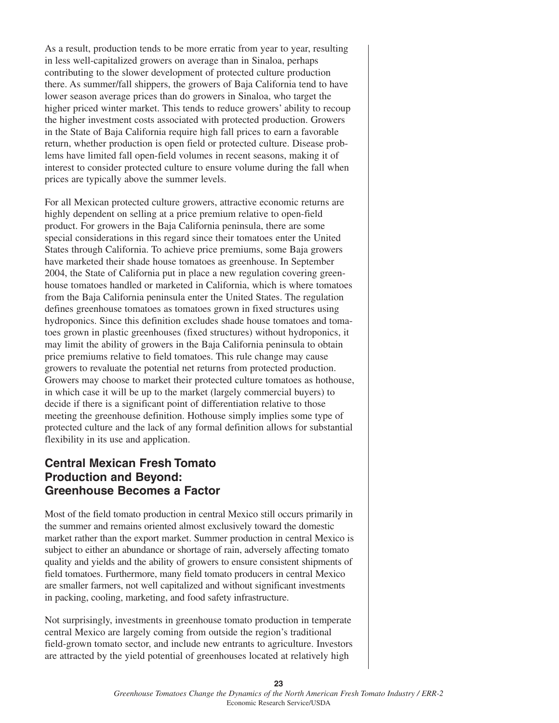As a result, production tends to be more erratic from year to year, resulting in less well-capitalized growers on average than in Sinaloa, perhaps contributing to the slower development of protected culture production there. As summer/fall shippers, the growers of Baja California tend to have lower season average prices than do growers in Sinaloa, who target the higher priced winter market. This tends to reduce growers' ability to recoup the higher investment costs associated with protected production. Growers in the State of Baja California require high fall prices to earn a favorable return, whether production is open field or protected culture. Disease problems have limited fall open-field volumes in recent seasons, making it of interest to consider protected culture to ensure volume during the fall when prices are typically above the summer levels.

For all Mexican protected culture growers, attractive economic returns are highly dependent on selling at a price premium relative to open-field product. For growers in the Baja California peninsula, there are some special considerations in this regard since their tomatoes enter the United States through California. To achieve price premiums, some Baja growers have marketed their shade house tomatoes as greenhouse. In September 2004, the State of California put in place a new regulation covering greenhouse tomatoes handled or marketed in California, which is where tomatoes from the Baja California peninsula enter the United States. The regulation defines greenhouse tomatoes as tomatoes grown in fixed structures using hydroponics. Since this definition excludes shade house tomatoes and tomatoes grown in plastic greenhouses (fixed structures) without hydroponics, it may limit the ability of growers in the Baja California peninsula to obtain price premiums relative to field tomatoes. This rule change may cause growers to revaluate the potential net returns from protected production. Growers may choose to market their protected culture tomatoes as hothouse, in which case it will be up to the market (largely commercial buyers) to decide if there is a significant point of differentiation relative to those meeting the greenhouse definition. Hothouse simply implies some type of protected culture and the lack of any formal definition allows for substantial flexibility in its use and application.

### **Central Mexican Fresh Tomato Production and Beyond: Greenhouse Becomes a Factor**

Most of the field tomato production in central Mexico still occurs primarily in the summer and remains oriented almost exclusively toward the domestic market rather than the export market. Summer production in central Mexico is subject to either an abundance or shortage of rain, adversely affecting tomato quality and yields and the ability of growers to ensure consistent shipments of field tomatoes. Furthermore, many field tomato producers in central Mexico are smaller farmers, not well capitalized and without significant investments in packing, cooling, marketing, and food safety infrastructure.

Not surprisingly, investments in greenhouse tomato production in temperate central Mexico are largely coming from outside the region's traditional field-grown tomato sector, and include new entrants to agriculture. Investors are attracted by the yield potential of greenhouses located at relatively high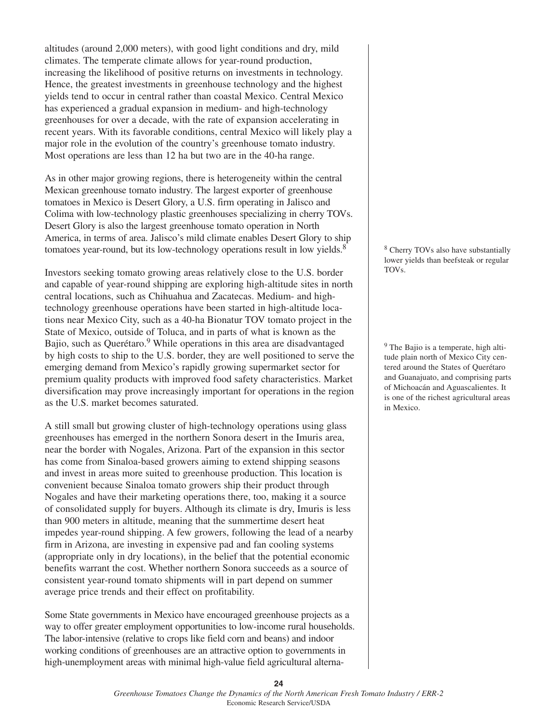altitudes (around 2,000 meters), with good light conditions and dry, mild climates. The temperate climate allows for year-round production, increasing the likelihood of positive returns on investments in technology. Hence, the greatest investments in greenhouse technology and the highest yields tend to occur in central rather than coastal Mexico. Central Mexico has experienced a gradual expansion in medium- and high-technology greenhouses for over a decade, with the rate of expansion accelerating in recent years. With its favorable conditions, central Mexico will likely play a major role in the evolution of the country's greenhouse tomato industry. Most operations are less than 12 ha but two are in the 40-ha range.

As in other major growing regions, there is heterogeneity within the central Mexican greenhouse tomato industry. The largest exporter of greenhouse tomatoes in Mexico is Desert Glory, a U.S. firm operating in Jalisco and Colima with low-technology plastic greenhouses specializing in cherry TOVs. Desert Glory is also the largest greenhouse tomato operation in North America, in terms of area. Jalisco's mild climate enables Desert Glory to ship tomatoes year-round, but its low-technology operations result in low yields.<sup>8</sup>

Investors seeking tomato growing areas relatively close to the U.S. border and capable of year-round shipping are exploring high-altitude sites in north central locations, such as Chihuahua and Zacatecas. Medium- and hightechnology greenhouse operations have been started in high-altitude locations near Mexico City, such as a 40-ha Bionatur TOV tomato project in the State of Mexico, outside of Toluca, and in parts of what is known as the Bajio, such as Querétaro.<sup>9</sup> While operations in this area are disadvantaged by high costs to ship to the U.S. border, they are well positioned to serve the emerging demand from Mexico's rapidly growing supermarket sector for premium quality products with improved food safety characteristics. Market diversification may prove increasingly important for operations in the region as the U.S. market becomes saturated.

A still small but growing cluster of high-technology operations using glass greenhouses has emerged in the northern Sonora desert in the Imuris area, near the border with Nogales, Arizona. Part of the expansion in this sector has come from Sinaloa-based growers aiming to extend shipping seasons and invest in areas more suited to greenhouse production. This location is convenient because Sinaloa tomato growers ship their product through Nogales and have their marketing operations there, too, making it a source of consolidated supply for buyers. Although its climate is dry, Imuris is less than 900 meters in altitude, meaning that the summertime desert heat impedes year-round shipping. A few growers, following the lead of a nearby firm in Arizona, are investing in expensive pad and fan cooling systems (appropriate only in dry locations), in the belief that the potential economic benefits warrant the cost. Whether northern Sonora succeeds as a source of consistent year-round tomato shipments will in part depend on summer average price trends and their effect on profitability.

Some State governments in Mexico have encouraged greenhouse projects as a way to offer greater employment opportunities to low-income rural households. The labor-intensive (relative to crops like field corn and beans) and indoor working conditions of greenhouses are an attractive option to governments in high-unemployment areas with minimal high-value field agricultural alterna<sup>8</sup> Cherry TOVs also have substantially lower yields than beefsteak or regular TOVs.

<sup>9</sup> The Bajio is a temperate, high altitude plain north of Mexico City centered around the States of Querétaro and Guanajuato, and comprising parts of Michoacán and Aguascalientes. It is one of the richest agricultural areas in Mexico.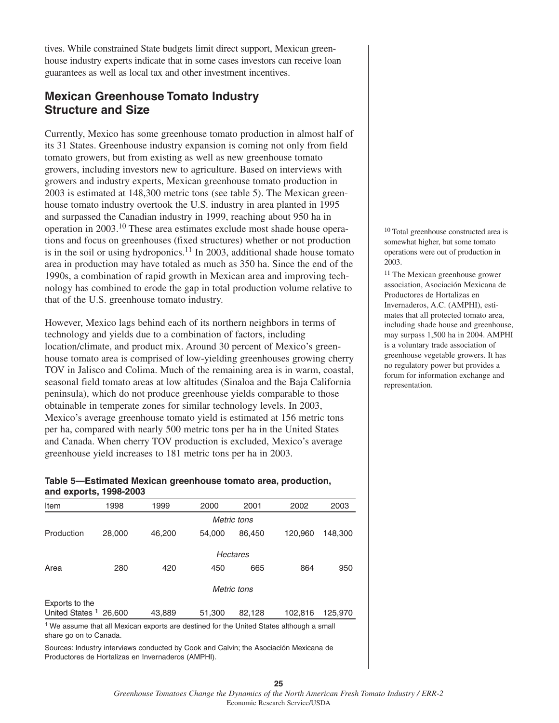tives. While constrained State budgets limit direct support, Mexican greenhouse industry experts indicate that in some cases investors can receive loan guarantees as well as local tax and other investment incentives.

# **Mexican Greenhouse Tomato Industry Structure and Size**

Currently, Mexico has some greenhouse tomato production in almost half of its 31 States. Greenhouse industry expansion is coming not only from field tomato growers, but from existing as well as new greenhouse tomato growers, including investors new to agriculture. Based on interviews with growers and industry experts, Mexican greenhouse tomato production in 2003 is estimated at 148,300 metric tons (see table 5). The Mexican greenhouse tomato industry overtook the U.S. industry in area planted in 1995 and surpassed the Canadian industry in 1999, reaching about 950 ha in operation in 2003.10 These area estimates exclude most shade house operations and focus on greenhouses (fixed structures) whether or not production is in the soil or using hydroponics.<sup>11</sup> In 2003, additional shade house tomato area in production may have totaled as much as 350 ha. Since the end of the 1990s, a combination of rapid growth in Mexican area and improving technology has combined to erode the gap in total production volume relative to that of the U.S. greenhouse tomato industry.

However, Mexico lags behind each of its northern neighbors in terms of technology and yields due to a combination of factors, including location/climate, and product mix. Around 30 percent of Mexico's greenhouse tomato area is comprised of low-yielding greenhouses growing cherry TOV in Jalisco and Colima. Much of the remaining area is in warm, coastal, seasonal field tomato areas at low altitudes (Sinaloa and the Baja California peninsula), which do not produce greenhouse yields comparable to those obtainable in temperate zones for similar technology levels. In 2003, Mexico's average greenhouse tomato yield is estimated at 156 metric tons per ha, compared with nearly 500 metric tons per ha in the United States and Canada. When cherry TOV production is excluded, Mexico's average greenhouse yield increases to 181 metric tons per ha in 2003.

#### **Table 5—Estimated Mexican greenhouse tomato area, production, and exports, 1998-2003**

| Item                       | 1998   | 1999        | 2000   | 2001   | 2002    | 2003    |
|----------------------------|--------|-------------|--------|--------|---------|---------|
|                            |        | Metric tons |        |        |         |         |
| Production                 | 28,000 | 46,200      | 54.000 | 86,450 | 120,960 | 148,300 |
|                            |        | Hectares    |        |        |         |         |
| Area                       | 280    | 420         | 450    | 665    | 864     | 950     |
| Metric tons                |        |             |        |        |         |         |
| Exports to the             |        |             |        |        |         |         |
| United States <sup>1</sup> | 26,600 | 43,889      | 51,300 | 82,128 | 102,816 | 125,970 |

<sup>1</sup> We assume that all Mexican exports are destined for the United States although a small share go on to Canada.

Sources: Industry interviews conducted by Cook and Calvin; the Asociación Mexicana de Productores de Hortalizas en Invernaderos (AMPHI).

<sup>10</sup> Total greenhouse constructed area is somewhat higher, but some tomato operations were out of production in 2003.

<sup>11</sup> The Mexican greenhouse grower association, Asociación Mexicana de Productores de Hortalizas en Invernaderos, A.C. (AMPHI), estimates that all protected tomato area, including shade house and greenhouse, may surpass 1,500 ha in 2004. AMPHI is a voluntary trade association of greenhouse vegetable growers. It has no regulatory power but provides a forum for information exchange and representation.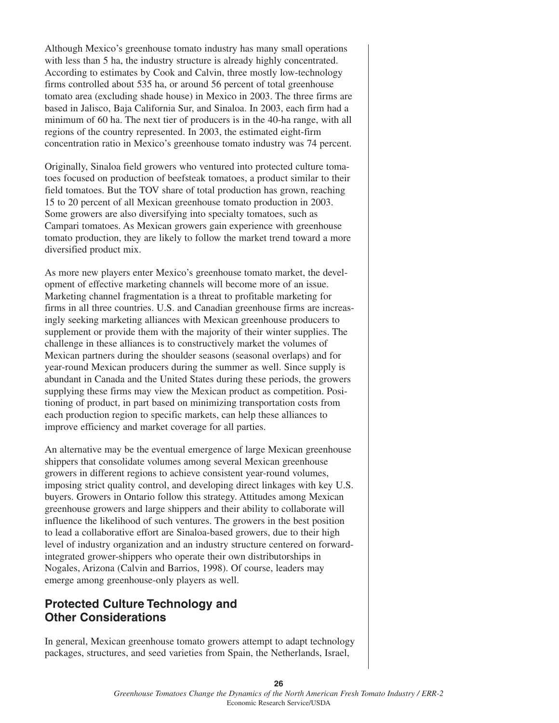Although Mexico's greenhouse tomato industry has many small operations with less than 5 ha, the industry structure is already highly concentrated. According to estimates by Cook and Calvin, three mostly low-technology firms controlled about 535 ha, or around 56 percent of total greenhouse tomato area (excluding shade house) in Mexico in 2003. The three firms are based in Jalisco, Baja California Sur, and Sinaloa. In 2003, each firm had a minimum of 60 ha. The next tier of producers is in the 40-ha range, with all regions of the country represented. In 2003, the estimated eight-firm concentration ratio in Mexico's greenhouse tomato industry was 74 percent.

Originally, Sinaloa field growers who ventured into protected culture tomatoes focused on production of beefsteak tomatoes, a product similar to their field tomatoes. But the TOV share of total production has grown, reaching 15 to 20 percent of all Mexican greenhouse tomato production in 2003. Some growers are also diversifying into specialty tomatoes, such as Campari tomatoes. As Mexican growers gain experience with greenhouse tomato production, they are likely to follow the market trend toward a more diversified product mix.

As more new players enter Mexico's greenhouse tomato market, the development of effective marketing channels will become more of an issue. Marketing channel fragmentation is a threat to profitable marketing for firms in all three countries. U.S. and Canadian greenhouse firms are increasingly seeking marketing alliances with Mexican greenhouse producers to supplement or provide them with the majority of their winter supplies. The challenge in these alliances is to constructively market the volumes of Mexican partners during the shoulder seasons (seasonal overlaps) and for year-round Mexican producers during the summer as well. Since supply is abundant in Canada and the United States during these periods, the growers supplying these firms may view the Mexican product as competition. Positioning of product, in part based on minimizing transportation costs from each production region to specific markets, can help these alliances to improve efficiency and market coverage for all parties.

An alternative may be the eventual emergence of large Mexican greenhouse shippers that consolidate volumes among several Mexican greenhouse growers in different regions to achieve consistent year-round volumes, imposing strict quality control, and developing direct linkages with key U.S. buyers. Growers in Ontario follow this strategy. Attitudes among Mexican greenhouse growers and large shippers and their ability to collaborate will influence the likelihood of such ventures. The growers in the best position to lead a collaborative effort are Sinaloa-based growers, due to their high level of industry organization and an industry structure centered on forwardintegrated grower-shippers who operate their own distributorships in Nogales, Arizona (Calvin and Barrios, 1998). Of course, leaders may emerge among greenhouse-only players as well.

### **Protected Culture Technology and Other Considerations**

In general, Mexican greenhouse tomato growers attempt to adapt technology packages, structures, and seed varieties from Spain, the Netherlands, Israel,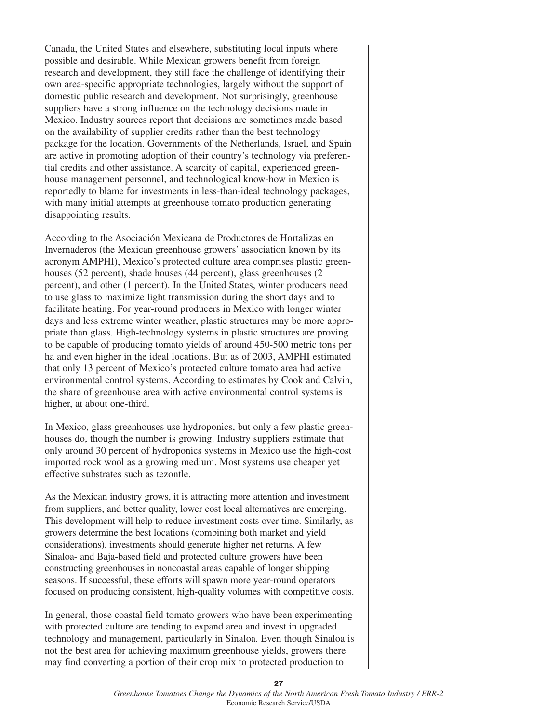Canada, the United States and elsewhere, substituting local inputs where possible and desirable. While Mexican growers benefit from foreign research and development, they still face the challenge of identifying their own area-specific appropriate technologies, largely without the support of domestic public research and development. Not surprisingly, greenhouse suppliers have a strong influence on the technology decisions made in Mexico. Industry sources report that decisions are sometimes made based on the availability of supplier credits rather than the best technology package for the location. Governments of the Netherlands, Israel, and Spain are active in promoting adoption of their country's technology via preferential credits and other assistance. A scarcity of capital, experienced greenhouse management personnel, and technological know-how in Mexico is reportedly to blame for investments in less-than-ideal technology packages, with many initial attempts at greenhouse tomato production generating disappointing results.

According to the Asociación Mexicana de Productores de Hortalizas en Invernaderos (the Mexican greenhouse growers' association known by its acronym AMPHI), Mexico's protected culture area comprises plastic greenhouses (52 percent), shade houses (44 percent), glass greenhouses (2 percent), and other (1 percent). In the United States, winter producers need to use glass to maximize light transmission during the short days and to facilitate heating. For year-round producers in Mexico with longer winter days and less extreme winter weather, plastic structures may be more appropriate than glass. High-technology systems in plastic structures are proving to be capable of producing tomato yields of around 450-500 metric tons per ha and even higher in the ideal locations. But as of 2003, AMPHI estimated that only 13 percent of Mexico's protected culture tomato area had active environmental control systems. According to estimates by Cook and Calvin, the share of greenhouse area with active environmental control systems is higher, at about one-third.

In Mexico, glass greenhouses use hydroponics, but only a few plastic greenhouses do, though the number is growing. Industry suppliers estimate that only around 30 percent of hydroponics systems in Mexico use the high-cost imported rock wool as a growing medium. Most systems use cheaper yet effective substrates such as tezontle.

As the Mexican industry grows, it is attracting more attention and investment from suppliers, and better quality, lower cost local alternatives are emerging. This development will help to reduce investment costs over time. Similarly, as growers determine the best locations (combining both market and yield considerations), investments should generate higher net returns. A few Sinaloa- and Baja-based field and protected culture growers have been constructing greenhouses in noncoastal areas capable of longer shipping seasons. If successful, these efforts will spawn more year-round operators focused on producing consistent, high-quality volumes with competitive costs.

In general, those coastal field tomato growers who have been experimenting with protected culture are tending to expand area and invest in upgraded technology and management, particularly in Sinaloa. Even though Sinaloa is not the best area for achieving maximum greenhouse yields, growers there may find converting a portion of their crop mix to protected production to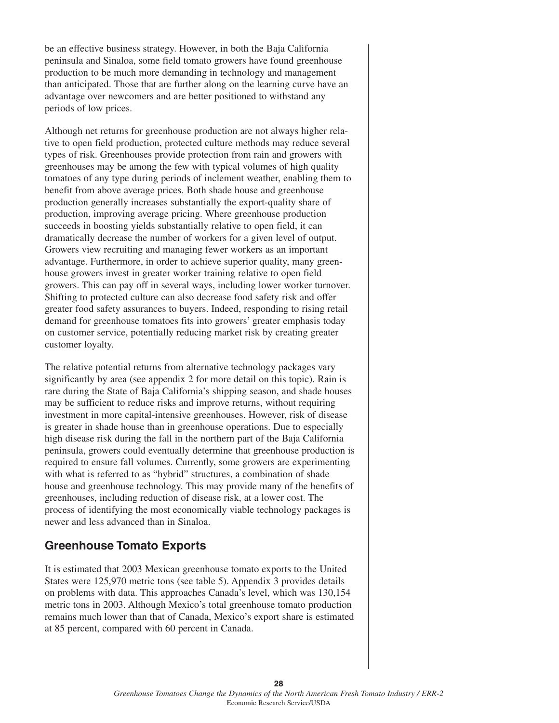be an effective business strategy. However, in both the Baja California peninsula and Sinaloa, some field tomato growers have found greenhouse production to be much more demanding in technology and management than anticipated. Those that are further along on the learning curve have an advantage over newcomers and are better positioned to withstand any periods of low prices.

Although net returns for greenhouse production are not always higher relative to open field production, protected culture methods may reduce several types of risk. Greenhouses provide protection from rain and growers with greenhouses may be among the few with typical volumes of high quality tomatoes of any type during periods of inclement weather, enabling them to benefit from above average prices. Both shade house and greenhouse production generally increases substantially the export-quality share of production, improving average pricing. Where greenhouse production succeeds in boosting yields substantially relative to open field, it can dramatically decrease the number of workers for a given level of output. Growers view recruiting and managing fewer workers as an important advantage. Furthermore, in order to achieve superior quality, many greenhouse growers invest in greater worker training relative to open field growers. This can pay off in several ways, including lower worker turnover. Shifting to protected culture can also decrease food safety risk and offer greater food safety assurances to buyers. Indeed, responding to rising retail demand for greenhouse tomatoes fits into growers' greater emphasis today on customer service, potentially reducing market risk by creating greater customer loyalty.

The relative potential returns from alternative technology packages vary significantly by area (see appendix 2 for more detail on this topic). Rain is rare during the State of Baja California's shipping season, and shade houses may be sufficient to reduce risks and improve returns, without requiring investment in more capital-intensive greenhouses. However, risk of disease is greater in shade house than in greenhouse operations. Due to especially high disease risk during the fall in the northern part of the Baja California peninsula, growers could eventually determine that greenhouse production is required to ensure fall volumes. Currently, some growers are experimenting with what is referred to as "hybrid" structures, a combination of shade house and greenhouse technology. This may provide many of the benefits of greenhouses, including reduction of disease risk, at a lower cost. The process of identifying the most economically viable technology packages is newer and less advanced than in Sinaloa.

# **Greenhouse Tomato Exports**

It is estimated that 2003 Mexican greenhouse tomato exports to the United States were 125,970 metric tons (see table 5). Appendix 3 provides details on problems with data. This approaches Canada's level, which was 130,154 metric tons in 2003. Although Mexico's total greenhouse tomato production remains much lower than that of Canada, Mexico's export share is estimated at 85 percent, compared with 60 percent in Canada.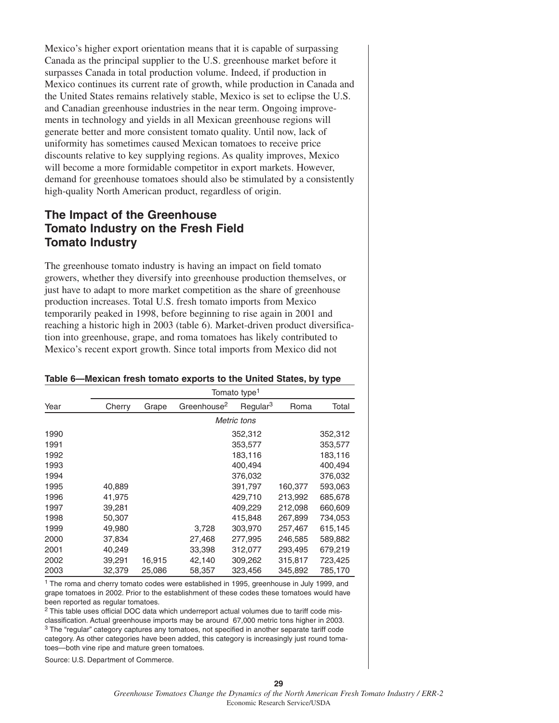Mexico's higher export orientation means that it is capable of surpassing Canada as the principal supplier to the U.S. greenhouse market before it surpasses Canada in total production volume. Indeed, if production in Mexico continues its current rate of growth, while production in Canada and the United States remains relatively stable, Mexico is set to eclipse the U.S. and Canadian greenhouse industries in the near term. Ongoing improvements in technology and yields in all Mexican greenhouse regions will generate better and more consistent tomato quality. Until now, lack of uniformity has sometimes caused Mexican tomatoes to receive price discounts relative to key supplying regions. As quality improves, Mexico will become a more formidable competitor in export markets. However, demand for greenhouse tomatoes should also be stimulated by a consistently high-quality North American product, regardless of origin.

### **The Impact of the Greenhouse Tomato Industry on the Fresh Field Tomato Industry**

The greenhouse tomato industry is having an impact on field tomato growers, whether they diversify into greenhouse production themselves, or just have to adapt to more market competition as the share of greenhouse production increases. Total U.S. fresh tomato imports from Mexico temporarily peaked in 1998, before beginning to rise again in 2001 and reaching a historic high in 2003 (table 6). Market-driven product diversification into greenhouse, grape, and roma tomatoes has likely contributed to Mexico's recent export growth. Since total imports from Mexico did not

#### **Table 6—Mexican fresh tomato exports to the United States, by type**

|      | Tomato type <sup>1</sup> |        |                         |                      |         |         |
|------|--------------------------|--------|-------------------------|----------------------|---------|---------|
| Year | Cherry                   | Grape  | Greenhouse <sup>2</sup> | Regular <sup>3</sup> | Roma    | Total   |
|      |                          |        |                         | Metric tons          |         |         |
| 1990 |                          |        |                         | 352,312              |         | 352,312 |
| 1991 |                          |        |                         | 353,577              |         | 353,577 |
| 1992 |                          |        |                         | 183,116              |         | 183,116 |
| 1993 |                          |        |                         | 400,494              |         | 400,494 |
| 1994 |                          |        |                         | 376,032              |         | 376,032 |
| 1995 | 40,889                   |        |                         | 391,797              | 160,377 | 593,063 |
| 1996 | 41,975                   |        |                         | 429,710              | 213,992 | 685,678 |
| 1997 | 39,281                   |        |                         | 409,229              | 212,098 | 660,609 |
| 1998 | 50,307                   |        |                         | 415,848              | 267,899 | 734,053 |
| 1999 | 49.980                   |        | 3,728                   | 303.970              | 257.467 | 615,145 |
| 2000 | 37,834                   |        | 27,468                  | 277,995              | 246,585 | 589,882 |
| 2001 | 40,249                   |        | 33,398                  | 312,077              | 293,495 | 679,219 |
| 2002 | 39,291                   | 16,915 | 42,140                  | 309,262              | 315,817 | 723,425 |
| 2003 | 32,379                   | 25,086 | 58,357                  | 323,456              | 345,892 | 785,170 |

<sup>1</sup> The roma and cherry tomato codes were established in 1995, greenhouse in July 1999, and grape tomatoes in 2002. Prior to the establishment of these codes these tomatoes would have been reported as regular tomatoes.

<sup>2</sup> This table uses official DOC data which underreport actual volumes due to tariff code misclassification. Actual greenhouse imports may be around 67,000 metric tons higher in 2003. <sup>3</sup> The "regular" category captures any tomatoes, not specified in another separate tariff code category. As other categories have been added, this category is increasingly just round tomatoes—both vine ripe and mature green tomatoes.

Source: U.S. Department of Commerce.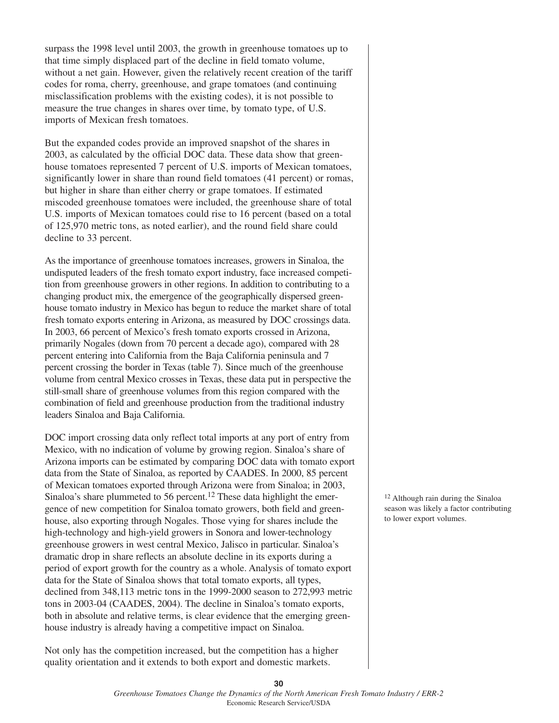surpass the 1998 level until 2003, the growth in greenhouse tomatoes up to that time simply displaced part of the decline in field tomato volume, without a net gain. However, given the relatively recent creation of the tariff codes for roma, cherry, greenhouse, and grape tomatoes (and continuing misclassification problems with the existing codes), it is not possible to measure the true changes in shares over time, by tomato type, of U.S. imports of Mexican fresh tomatoes.

But the expanded codes provide an improved snapshot of the shares in 2003, as calculated by the official DOC data. These data show that greenhouse tomatoes represented 7 percent of U.S. imports of Mexican tomatoes, significantly lower in share than round field tomatoes (41 percent) or romas, but higher in share than either cherry or grape tomatoes. If estimated miscoded greenhouse tomatoes were included, the greenhouse share of total U.S. imports of Mexican tomatoes could rise to 16 percent (based on a total of 125,970 metric tons, as noted earlier), and the round field share could decline to 33 percent.

As the importance of greenhouse tomatoes increases, growers in Sinaloa, the undisputed leaders of the fresh tomato export industry, face increased competition from greenhouse growers in other regions. In addition to contributing to a changing product mix, the emergence of the geographically dispersed greenhouse tomato industry in Mexico has begun to reduce the market share of total fresh tomato exports entering in Arizona, as measured by DOC crossings data. In 2003, 66 percent of Mexico's fresh tomato exports crossed in Arizona, primarily Nogales (down from 70 percent a decade ago), compared with 28 percent entering into California from the Baja California peninsula and 7 percent crossing the border in Texas (table 7). Since much of the greenhouse volume from central Mexico crosses in Texas, these data put in perspective the still-small share of greenhouse volumes from this region compared with the combination of field and greenhouse production from the traditional industry leaders Sinaloa and Baja California.

DOC import crossing data only reflect total imports at any port of entry from Mexico, with no indication of volume by growing region. Sinaloa's share of Arizona imports can be estimated by comparing DOC data with tomato export data from the State of Sinaloa, as reported by CAADES. In 2000, 85 percent of Mexican tomatoes exported through Arizona were from Sinaloa; in 2003, Sinaloa's share plummeted to 56 percent.<sup>12</sup> These data highlight the emergence of new competition for Sinaloa tomato growers, both field and greenhouse, also exporting through Nogales. Those vying for shares include the high-technology and high-yield growers in Sonora and lower-technology greenhouse growers in west central Mexico, Jalisco in particular. Sinaloa's dramatic drop in share reflects an absolute decline in its exports during a period of export growth for the country as a whole. Analysis of tomato export data for the State of Sinaloa shows that total tomato exports, all types, declined from 348,113 metric tons in the 1999-2000 season to 272,993 metric tons in 2003-04 (CAADES, 2004). The decline in Sinaloa's tomato exports, both in absolute and relative terms, is clear evidence that the emerging greenhouse industry is already having a competitive impact on Sinaloa.

Not only has the competition increased, but the competition has a higher quality orientation and it extends to both export and domestic markets.

<sup>12</sup> Although rain during the Sinaloa season was likely a factor contributing to lower export volumes.

**30**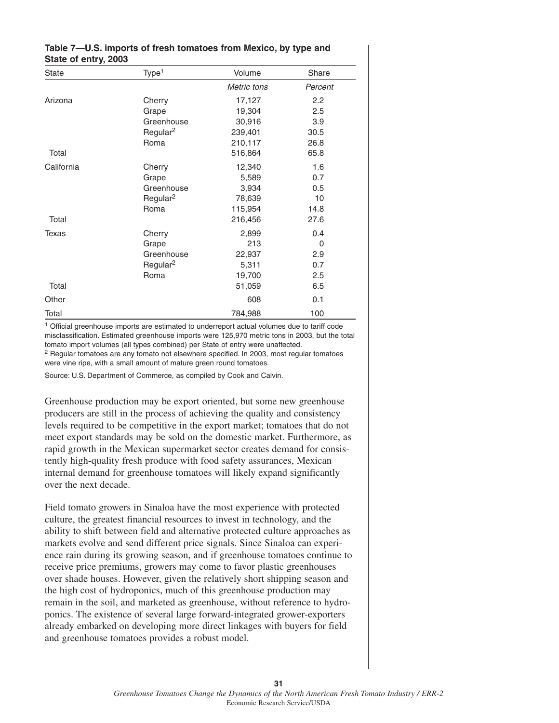| $\frac{1}{2}$ |                      |             |         |  |  |  |
|---------------|----------------------|-------------|---------|--|--|--|
| <b>State</b>  | Type <sup>1</sup>    | Volume      | Share   |  |  |  |
|               |                      | Metric tons | Percent |  |  |  |
| Arizona       | Cherry               | 17,127      | 2.2     |  |  |  |
|               | Grape                | 19,304      | 2.5     |  |  |  |
|               | Greenhouse           | 30,916      | 3.9     |  |  |  |
|               | Regular <sup>2</sup> | 239,401     | 30.5    |  |  |  |
|               | Roma                 | 210,117     | 26.8    |  |  |  |
| Total         |                      | 516,864     | 65.8    |  |  |  |
| California    | Cherry               | 12,340      | 1.6     |  |  |  |
|               | Grape                | 5,589       | 0.7     |  |  |  |
|               | Greenhouse           | 3,934       | 0.5     |  |  |  |
|               | Regular <sup>2</sup> | 78,639      | 10      |  |  |  |
|               | Roma                 | 115,954     | 14.8    |  |  |  |
| Total         |                      | 216,456     | 27.6    |  |  |  |
| <b>Texas</b>  | Cherry               | 2,899       | 0.4     |  |  |  |
|               | Grape                | 213         | 0       |  |  |  |
|               | Greenhouse           | 22,937      | 2.9     |  |  |  |
|               | Regular <sup>2</sup> | 5,311       | 0.7     |  |  |  |
|               | Roma                 | 19,700      | 2.5     |  |  |  |
| Total         |                      | 51,059      | 6.5     |  |  |  |
| Other         |                      | 608         | 0.1     |  |  |  |
| Total         |                      | 784,988     | 100     |  |  |  |

#### **Table 7—U.S. imports of fresh tomatoes from Mexico, by type and State of entry, 2003**

<sup>1</sup> Official greenhouse imports are estimated to underreport actual volumes due to tariff code misclassification. Estimated greenhouse imports were 125,970 metric tons in 2003, but the total tomato import volumes (all types combined) per State of entry were unaffected.

<sup>2</sup> Regular tomatoes are any tomato not elsewhere specified. In 2003, most regular tomatoes were vine ripe, with a small amount of mature green round tomatoes.

Source: U.S. Department of Commerce, as compiled by Cook and Calvin.

Greenhouse production may be export oriented, but some new greenhouse producers are still in the process of achieving the quality and consistency levels required to be competitive in the export market; tomatoes that do not meet export standards may be sold on the domestic market. Furthermore, as rapid growth in the Mexican supermarket sector creates demand for consistently high-quality fresh produce with food safety assurances, Mexican internal demand for greenhouse tomatoes will likely expand significantly over the next decade.

Field tomato growers in Sinaloa have the most experience with protected culture, the greatest financial resources to invest in technology, and the ability to shift between field and alternative protected culture approaches as markets evolve and send different price signals. Since Sinaloa can experience rain during its growing season, and if greenhouse tomatoes continue to receive price premiums, growers may come to favor plastic greenhouses over shade houses. However, given the relatively short shipping season and the high cost of hydroponics, much of this greenhouse production may remain in the soil, and marketed as greenhouse, without reference to hydroponics. The existence of several large forward-integrated grower-exporters already embarked on developing more direct linkages with buyers for field and greenhouse tomatoes provides a robust model.